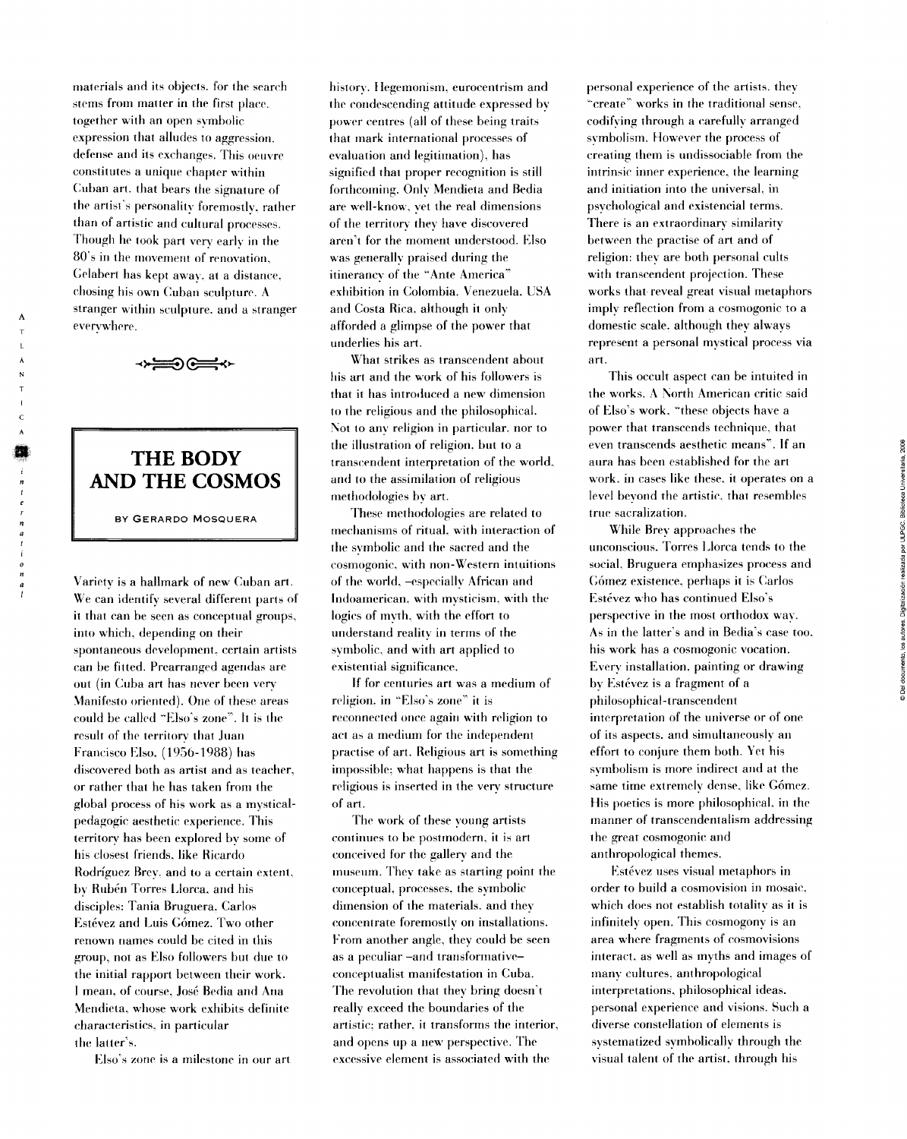materials and its objects. for the search stems from matter in the first place. together with an open symbolic expression that alludes to aggression. defense and its exchanges. This oeuvre constitutes a unique chapter within Cuban art. that bears the signature of the artist's personality foremostly, rather than of artistic and cultural processes. Though he took part very earlv in the 80's in the movement of renovation, Gelabert has kept away. at a distance. chosing his own Cuban sculpture. A stranger wilhin sculpture. and a stranger everywhere.

<del>⊙</del>⊜≪

## **THE BODY AND THE COSMOS**

BY GERARDO MOSQUERA

Variety is a hallmark of new Cuban art. We can identify several different parts of it that can be seen as conceptual groups, into which, depending on their spontaneous development, certain artists can be fitted. Prearranged agendas are out (in Cuba art has never been very Manifesto oriented). One of these areas could be called "Elso's zone". It is the result of the territorv that Juan Francisco KIso. (1956-1988) has discovered both as artist and as teacher, or rather that he has taken from the global process of his work as a mysticalpedagogic aesthetic experience. This territory has been explored by some of his closest friends. like Ricardo Rodríguez Brey. and to a certain extent, by Rubén Torres Llorca. and his disciples: Tania Bruguera. Carlos Estévez and Luis Gómez. Two other renown names could be cited in this group, not as Elso followers but due to the initial rapport between their work. 1 mean, of course, José Bedia and Ana Mendiela, whose work exhibits delinite characteristics. in particular the latter's.

Klso's zone is a milestonc in our art

history. Hegemonism, eurocentrism and the condescending attitude expressed bv power centres (all of these being traits that mark international processes of evaluation and legitimation), has signified that proper recognition is still forthcoming. Only Mendieta and Bedia are well-know, vet the real dimensions of the territory they have discovered aren't for the moment understood. Klso was generallv praised during the itinerancy of the "Ante America'' exhibition in Colombia. Venezuela. USA and Costa Rica, although it onlv afforded a glimpse of the power that underlies his art.

What strikes as transcendent about his art and the work of his followers is that it has introduced a new dimensión to the religious and the philosophical. Not to any religion in particular, nor to the illustration of religion, but to a transcendent interpretation of the world, and to the assimilation of religious methodologies by art.

These methodologies are related to mechanisms of ritual, with interaction of the symbolic and the sacred and the cosmogonic. with non-Western intuitions of the world, -especiallv African and Indoamerican, with mysticism, with the logics of myth. with the effort to understand realitv in terms of the svmbolic, and with art applied to existential significance.

If for centuries art was a médium of religión, in "Elso's zone' it is reconnected once again with religión to act as a medium for the independent practise of art. Religious art is something impossible: what happens is that the religious is inserted in the very structure of art.

The work of these young artists continues to be postmodern, it is art conceived for the gallery and the museum. They take as starting point the conceptual, processes, the svmbolic dimension of the materials, and they concentrate foremostly on installations. From another anglc, they could be seen as a peculiar -and transformativeconceptualist manifestation in Cuba. The revolution that they bring doesn't really exceed the boundaries of the artistic: rather, it transforms the interior, and opens up a new perspective. The excessive element is associated with the

personal experience of the artists. they "create" works in the traditional sense. codifying through a carefully arranged symbolism. However the process of creating them is undissociable from the intrinsic inner experience, the learning and initiation into the universal, in psvchological and existencial terms. There is an extraordinary similarity between the practise of art and of religión: they are both personal cults with transcendent projection. These works that reveal great visual metaphors implv reflection from a cosmogonic to a domestic scale. although they always represent a personal mvstical process via art.

This occult aspect can be intuited in the works. A North American critic said of Elso's work. "these objects have a power that transcends technique, that even transcends aesthetic means'. If an aura has been established for the art work. in cases like these. it operates on a level bevond the artistic. that resembles true sacralization.

While Brey approaches the unconscious. Torres Llorca tends to the social, Bruguera emphasizes process and Gómez existence. perhaps it is Carlos Estévez who has continued Elso's perspective in the most orthodox wav. As in the latter's and in Bedia's case too. his work has a cosmogonic vocation. Everv installation. painting or drawing bv Estévez is a fragment of a philosophical-transcendent interpretation of the universe or of one of its aspects. and simultaneously an effort to conjure them both. Yet his symbolism is more indirect and at the same time extremely dense, like Gómez. His poetics is more philosophical, in the rnanner of transcendentalism addressing the great cosmogonic and anthropological themes.

Estévez uses visual metaphors in order to build a cosmovision in mosaic, which does not establish totality as it is infinitely open. This cosmogony is an área where fragments of cosmovisions interact, as well as myths and images of manv cultures, anthropological interpretations, philosophical ideas, personal experience and visions. Such a diverse constellation of elements is systematized symbolically through the visual talent of the artist, through his